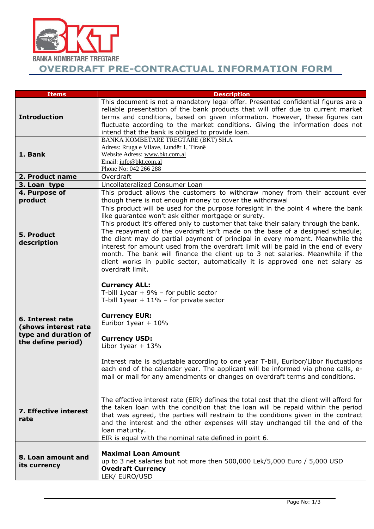

**OVERDRAFT PRE-CONTRACTUAL INFORMATION FORM**

| <b>Items</b>                                                                           | <b>Description</b>                                                                                                                                                                                                                                                                                                                                                                                                                                                                                                                                                                                                                                                             |
|----------------------------------------------------------------------------------------|--------------------------------------------------------------------------------------------------------------------------------------------------------------------------------------------------------------------------------------------------------------------------------------------------------------------------------------------------------------------------------------------------------------------------------------------------------------------------------------------------------------------------------------------------------------------------------------------------------------------------------------------------------------------------------|
| <b>Introduction</b>                                                                    | This document is not a mandatory legal offer. Presented confidential figures are a<br>reliable presentation of the bank products that will offer due to current market<br>terms and conditions, based on given information. However, these figures can<br>fluctuate according to the market conditions. Giving the information does not<br>intend that the bank is obliged to provide loan.                                                                                                                                                                                                                                                                                    |
| 1. Bank                                                                                | BANKA KOMBETARE TREGTARE (BKT) SH.A<br>Adress: Rruga e Vilave, Lundër 1, Tiranë<br>Website Adress: www.bkt.com.al<br>Email: info@bkt.com.al<br>Phone No: 042 266 288                                                                                                                                                                                                                                                                                                                                                                                                                                                                                                           |
| 2. Product name                                                                        | Overdraft                                                                                                                                                                                                                                                                                                                                                                                                                                                                                                                                                                                                                                                                      |
| 3. Loan type                                                                           | Uncollateralized Consumer Loan                                                                                                                                                                                                                                                                                                                                                                                                                                                                                                                                                                                                                                                 |
| 4. Purpose of<br>product                                                               | This product allows the customers to withdraw money from their account ever<br>though there is not enough money to cover the withdrawal                                                                                                                                                                                                                                                                                                                                                                                                                                                                                                                                        |
| 5. Product<br>description                                                              | This product will be used for the purpose foresight in the point 4 where the bank<br>like guarantee won't ask either mortgage or surety.<br>This product it's offered only to customer that take their salary through the bank.<br>The repayment of the overdraft isn't made on the base of a designed schedule;<br>the client may do partial payment of principal in every moment. Meanwhile the<br>interest for amount used from the overdraft limit will be paid in the end of every<br>month. The bank will finance the client up to 3 net salaries. Meanwhile if the<br>client works in public sector, automatically it is approved one net salary as<br>overdraft limit. |
| 6. Interest rate<br>(shows interest rate<br>type and duration of<br>the define period) | <b>Currency ALL:</b><br>T-bill 1year + $9\%$ - for public sector<br>T-bill 1year + $11\%$ - for private sector<br><b>Currency EUR:</b><br>Euribor $1$ year + $10\%$<br><b>Currency USD:</b><br>Libor 1year $+ 13%$<br>Interest rate is adjustable according to one year T-bill, Euribor/Libor fluctuations<br>each end of the calendar year. The applicant will be informed via phone calls, e-<br>mail or mail for any amendments or changes on overdraft terms and conditions.                                                                                                                                                                                               |
| 7. Effective interest<br>rate                                                          | The effective interest rate (EIR) defines the total cost that the client will afford for<br>the taken loan with the condition that the loan will be repaid within the period<br>that was agreed, the parties will restrain to the conditions given in the contract<br>and the interest and the other expenses will stay unchanged till the end of the<br>loan maturity.<br>EIR is equal with the nominal rate defined in point 6.                                                                                                                                                                                                                                              |
| 8. Loan amount and<br>its currency                                                     | <b>Maximal Loan Amount</b><br>up to 3 net salaries but not more then 500,000 Lek/5,000 Euro / 5,000 USD<br><b>Ovedraft Currency</b><br>LEK/ EURO/USD                                                                                                                                                                                                                                                                                                                                                                                                                                                                                                                           |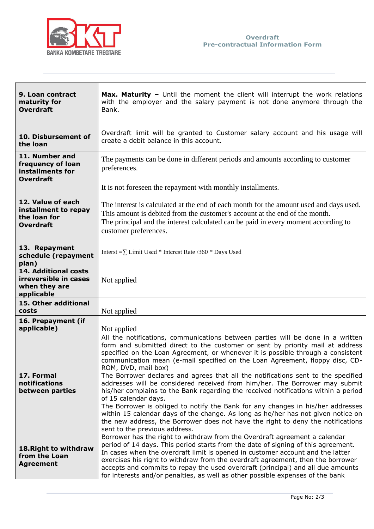

| 9. Loan contract<br>maturity for<br><b>Overdraft</b>                          | <b>Max. Maturity</b> - Until the moment the client will interrupt the work relations<br>with the employer and the salary payment is not done anymore through the<br>Bank.                                                                                                                                                                                                                                                                                                                                                                                                                                                                                                                                                                                                                                                                                                                                                                |
|-------------------------------------------------------------------------------|------------------------------------------------------------------------------------------------------------------------------------------------------------------------------------------------------------------------------------------------------------------------------------------------------------------------------------------------------------------------------------------------------------------------------------------------------------------------------------------------------------------------------------------------------------------------------------------------------------------------------------------------------------------------------------------------------------------------------------------------------------------------------------------------------------------------------------------------------------------------------------------------------------------------------------------|
| 10. Disbursement of<br>the loan                                               | Overdraft limit will be granted to Customer salary account and his usage will<br>create a debit balance in this account.                                                                                                                                                                                                                                                                                                                                                                                                                                                                                                                                                                                                                                                                                                                                                                                                                 |
| 11. Number and<br>frequency of loan<br>installments for<br><b>Overdraft</b>   | The payments can be done in different periods and amounts according to customer<br>preferences.                                                                                                                                                                                                                                                                                                                                                                                                                                                                                                                                                                                                                                                                                                                                                                                                                                          |
|                                                                               | It is not foreseen the repayment with monthly installments.                                                                                                                                                                                                                                                                                                                                                                                                                                                                                                                                                                                                                                                                                                                                                                                                                                                                              |
| 12. Value of each<br>installment to repay<br>the loan for<br><b>Overdraft</b> | The interest is calculated at the end of each month for the amount used and days used.<br>This amount is debited from the customer's account at the end of the month.<br>The principal and the interest calculated can be paid in every moment according to<br>customer preferences.                                                                                                                                                                                                                                                                                                                                                                                                                                                                                                                                                                                                                                                     |
| 13. Repayment<br>schedule (repayment<br>plan)                                 | Interst = $\sum$ Limit Used * Interest Rate /360 * Days Used                                                                                                                                                                                                                                                                                                                                                                                                                                                                                                                                                                                                                                                                                                                                                                                                                                                                             |
| 14. Additional costs<br>irreversible in cases<br>when they are<br>applicable  | Not applied                                                                                                                                                                                                                                                                                                                                                                                                                                                                                                                                                                                                                                                                                                                                                                                                                                                                                                                              |
| 15. Other additional<br>costs                                                 | Not applied                                                                                                                                                                                                                                                                                                                                                                                                                                                                                                                                                                                                                                                                                                                                                                                                                                                                                                                              |
| 16. Prepayment (if<br>applicable)                                             | Not applied                                                                                                                                                                                                                                                                                                                                                                                                                                                                                                                                                                                                                                                                                                                                                                                                                                                                                                                              |
| 17. Formal<br>notifications<br>between parties                                | All the notifications, communications between parties will be done in a written<br>form and submitted direct to the customer or sent by priority mail at address<br>specified on the Loan Agreement, or whenever it is possible through a consistent<br>communication mean (e-mail specified on the Loan Agreement, floppy disc, CD-<br>ROM, DVD, mail box)<br>The Borrower declares and agrees that all the notifications sent to the specified<br>addresses will be considered received from him/her. The Borrower may submit<br>his/her complains to the Bank regarding the received notifications within a period<br>of 15 calendar days.<br>The Borrower is obliged to notify the Bank for any changes in his/her addresses<br>within 15 calendar days of the change. As long as he/her has not given notice on<br>the new address, the Borrower does not have the right to deny the notifications<br>sent to the previous address. |
| 18. Right to withdraw<br>from the Loan<br><b>Agreement</b>                    | Borrower has the right to withdraw from the Overdraft agreement a calendar<br>period of 14 days. This period starts from the date of signing of this agreement.<br>In cases when the overdraft limit is opened in customer account and the latter<br>exercises his right to withdraw from the overdraft agreement, then the borrower<br>accepts and commits to repay the used overdraft (principal) and all due amounts<br>for interests and/or penalties, as well as other possible expenses of the bank                                                                                                                                                                                                                                                                                                                                                                                                                                |